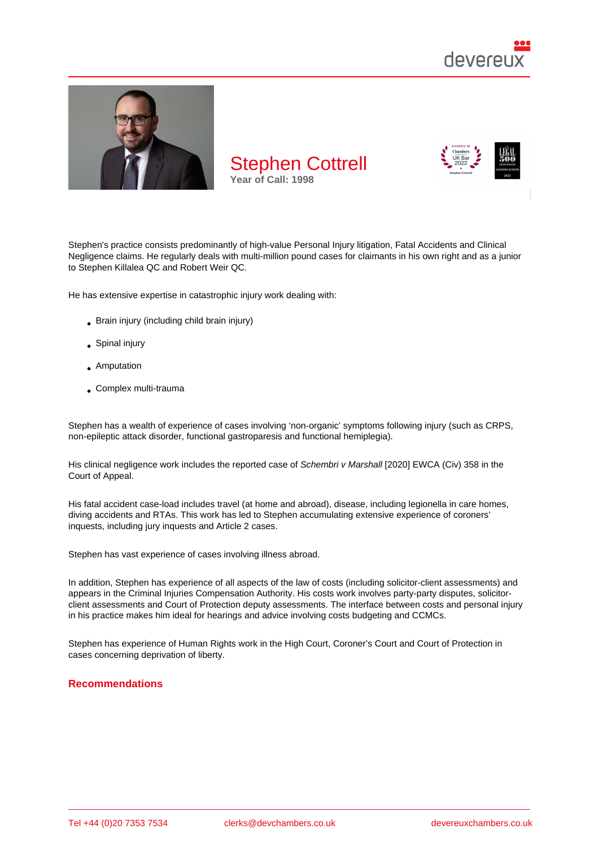

Stephen's practice consists predominantly of high-value Personal Injury litigation, Fatal Accidents and Clinical Negligence claims. He regularly deals with multi-million pound cases for claimants in his own right and as a junior to Stephen Killalea QC and Robert Weir QC.

He has extensive expertise in catastrophic injury work dealing with:

- Brain injury (including child brain injury)
- Spinal injury
- **Amputation**
- Complex multi-trauma

Stephen has a wealth of experience of cases involving 'non-organic' symptoms following injury (such as CRPS, non-epileptic attack disorder, functional gastroparesis and functional hemiplegia).

His clinical negligence work includes the reported case of Schembri v Marshall [2020] EWCA (Civ) 358 in the Court of Appeal.

His fatal accident case-load includes travel (at home and abroad), disease, including legionella in care homes, diving accidents and RTAs. This work has led to Stephen accumulating extensive experience of coroners' inquests, including jury inquests and Article 2 cases.

Stephen has vast experience of cases involving illness abroad.

In addition, Stephen has experience of all aspects of the law of costs (including solicitor-client assessments) and appears in the Criminal Injuries Compensation Authority. His costs work involves party-party disputes, solicitorclient assessments and Court of Protection deputy assessments. The interface between costs and personal injury in his practice makes him ideal for hearings and advice involving costs budgeting and CCMCs.

Stephen has experience of Human Rights work in the High Court, Coroner's Court and Court of Protection in cases concerning deprivation of liberty.

### Recommendations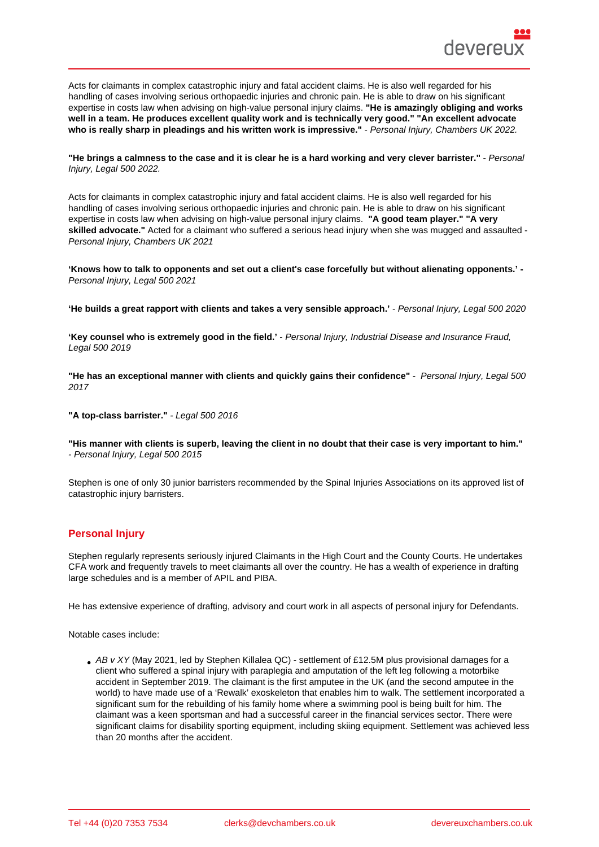Acts for claimants in complex catastrophic injury and fatal accident claims. He is also well regarded for his handling of cases involving serious orthopaedic injuries and chronic pain. He is able to draw on his significant expertise in costs law when advising on high-value personal injury claims. "He is amazingly obliging and works well in a team. He produces excellent quality work and is technically very good." "An excellent advocate who is really sharp in pleadings and his written work is impressive." - Personal Injury, Chambers UK 2022.

"He brings a calmness to the case and it is clear he is a hard working and very clever barrister." - Personal Injury, Legal 500 2022.

Acts for claimants in complex catastrophic injury and fatal accident claims. He is also well regarded for his handling of cases involving serious orthopaedic injuries and chronic pain. He is able to draw on his significant expertise in costs law when advising on high-value personal injury claims. "A good team player." "A very skilled advocate." Acted for a claimant who suffered a serious head injury when she was mugged and assaulted - Personal Injury, Chambers UK 2021

'Knows how to talk to opponents and set out a client's case forcefully but without alienating opponents.' - Personal Injury, Legal 500 2021

'He builds a great rapport with clients and takes a very sensible approach.' Personal Injury, Legal 500 2020

'Key counsel who is extremely good in the field.' - Personal Injury, Industrial Disease and Insurance Fraud, Legal 500 2019

"He has an exceptional manner with clients and quickly gains their confidence" - Personal Injury, Legal 500 2017

"A top-class barrister." - Legal 500 2016

"His manner with clients is superb, leaving the client in no doubt that their case is very important to him." - Personal Injury, Legal 500 2015

Stephen is one of only 30 junior barristers recommended by the Spinal Injuries Associations on its approved list of catastrophic injury barristers.

### Personal Injury

Stephen regularly represents seriously injured Claimants in the High Court and the County Courts. He undertakes CFA work and frequently travels to meet claimants all over the country. He has a wealth of experience in drafting large schedules and is a member of APIL and PIBA.

He has extensive experience of drafting, advisory and court work in all aspects of personal injury for Defendants.

Notable cases include:

AB v XY (May 2021, led by Stephen Killalea QC) - settlement of £12.5M plus provisional damages for a client who suffered a spinal injury with paraplegia and amputation of the left leg following a motorbike accident in September 2019. The claimant is the first amputee in the UK (and the second amputee in the world) to have made use of a 'Rewalk' exoskeleton that enables him to walk. The settlement incorporated a significant sum for the rebuilding of his family home where a swimming pool is being built for him. The claimant was a keen sportsman and had a successful career in the financial services sector. There were significant claims for disability sporting equipment, including skiing equipment. Settlement was achieved less than 20 months after the accident.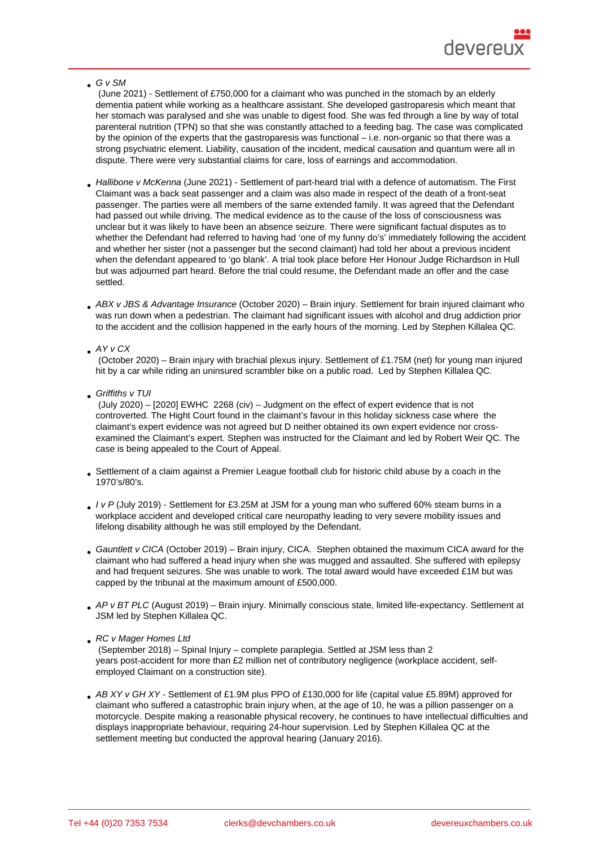#### G v SM

 (June 2021) - Settlement of £750,000 for a claimant who was punched in the stomach by an elderly dementia patient while working as a healthcare assistant. She developed gastroparesis which meant that her stomach was paralysed and she was unable to digest food. She was fed through a line by way of total parenteral nutrition (TPN) so that she was constantly attached to a feeding bag. The case was complicated by the opinion of the experts that the gastroparesis was functional – i.e. non-organic so that there was a strong psychiatric element. Liability, causation of the incident, medical causation and quantum were all in dispute. There were very substantial claims for care, loss of earnings and accommodation.

- Hallibone v McKenna (June 2021) Settlement of part-heard trial with a defence of automatism. The First Claimant was a back seat passenger and a claim was also made in respect of the death of a front-seat passenger. The parties were all members of the same extended family. It was agreed that the Defendant had passed out while driving. The medical evidence as to the cause of the loss of consciousness was unclear but it was likely to have been an absence seizure. There were significant factual disputes as to whether the Defendant had referred to having had 'one of my funny do's' immediately following the accident and whether her sister (not a passenger but the second claimant) had told her about a previous incident when the defendant appeared to 'go blank'. A trial took place before Her Honour Judge Richardson in Hull but was adjourned part heard. Before the trial could resume, the Defendant made an offer and the case settled.
- ABX v JBS & Advantage Insurance (October 2020) Brain injury. Settlement for brain injured claimant who was run down when a pedestrian. The claimant had significant issues with alcohol and drug addiction prior to the accident and the collision happened in the early hours of the morning. Led by Stephen Killalea QC.

#### AY v CX

 (October 2020) – Brain injury with brachial plexus injury. Settlement of £1.75M (net) for young man injured hit by a car while riding an uninsured scrambler bike on a public road. Led by Stephen Killalea QC.

Griffiths v TUI

 (July 2020) – [2020] EWHC 2268 (civ) – Judgment on the effect of expert evidence that is not controverted. The Hight Court found in the claimant's favour in this holiday sickness case where the claimant's expert evidence was not agreed but D neither obtained its own expert evidence nor crossexamined the Claimant's expert. Stephen was instructed for the Claimant and led by Robert Weir QC. The case is being appealed to the Court of Appeal.

- Settlement of a claim against a Premier League football club for historic child abuse by a coach in the 1970's/80's.
- I v P (July 2019) Settlement for £3.25M at JSM for a young man who suffered 60% steam burns in a workplace accident and developed critical care neuropathy leading to very severe mobility issues and lifelong disability although he was still employed by the Defendant.
- Gauntlett v CICA (October 2019) Brain injury, CICA. Stephen obtained the maximum CICA award for the claimant who had suffered a head injury when she was mugged and assaulted. She suffered with epilepsy and had frequent seizures. She was unable to work. The total award would have exceeded £1M but was capped by the tribunal at the maximum amount of £500,000.
- AP v BT PLC (August 2019) Brain injury. Minimally conscious state, limited life-expectancy. Settlement at JSM led by Stephen Killalea QC.

#### RC v Mager Homes Ltd

 (September 2018) – Spinal Injury – complete paraplegia. Settled at JSM less than 2 years post-accident for more than £2 million net of contributory negligence (workplace accident, selfemployed Claimant on a construction site).

AB XY v GH XY - Settlement of £1.9M plus PPO of £130,000 for life (capital value £5.89M) approved for claimant who suffered a catastrophic brain injury when, at the age of 10, he was a pillion passenger on a motorcycle. Despite making a reasonable physical recovery, he continues to have intellectual difficulties and displays inappropriate behaviour, requiring 24-hour supervision. Led by Stephen Killalea QC at the settlement meeting but conducted the approval hearing (January 2016).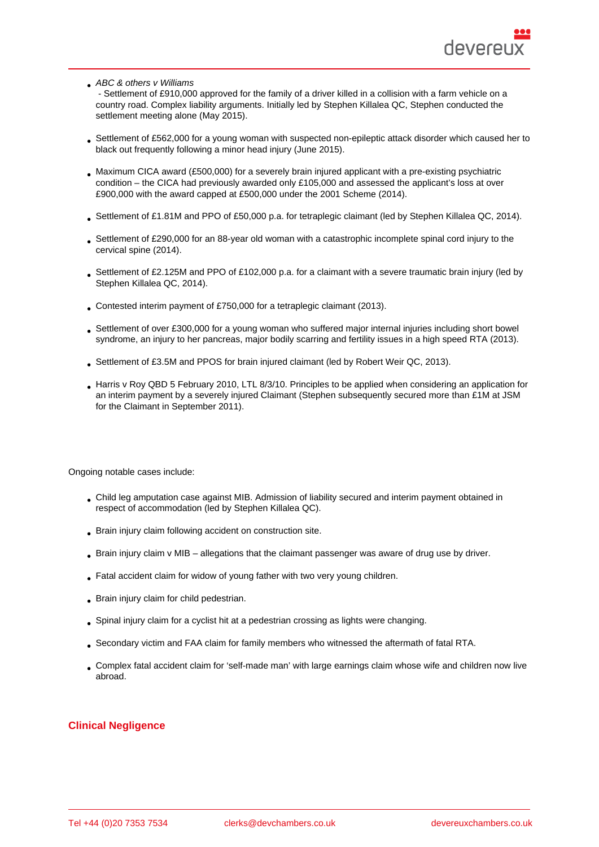ABC & others v Williams

 - Settlement of £910,000 approved for the family of a driver killed in a collision with a farm vehicle on a country road. Complex liability arguments. Initially led by Stephen Killalea QC, Stephen conducted the settlement meeting alone (May 2015).

- Settlement of £562,000 for a young woman with suspected non-epileptic attack disorder which caused her to black out frequently following a minor head injury (June 2015).
- Maximum CICA award (£500,000) for a severely brain injured applicant with a pre-existing psychiatric condition – the CICA had previously awarded only £105,000 and assessed the applicant's loss at over £900,000 with the award capped at £500,000 under the 2001 Scheme (2014).
- Settlement of £1.81M and PPO of £50,000 p.a. for tetraplegic claimant (led by Stephen Killalea QC, 2014).
- Settlement of £290,000 for an 88-year old woman with a catastrophic incomplete spinal cord injury to the cervical spine (2014).
- Settlement of £2.125M and PPO of £102,000 p.a. for a claimant with a severe traumatic brain injury (led by Stephen Killalea QC, 2014).
- Contested interim payment of £750,000 for a tetraplegic claimant (2013).
- Settlement of over £300,000 for a young woman who suffered major internal injuries including short bowel syndrome, an injury to her pancreas, major bodily scarring and fertility issues in a high speed RTA (2013).
- Settlement of £3.5M and PPOS for brain injured claimant (led by Robert Weir QC, 2013).
- Harris v Roy QBD 5 February 2010, LTL 8/3/10. Principles to be applied when considering an application for an interim payment by a severely injured Claimant (Stephen subsequently secured more than £1M at JSM for the Claimant in September 2011).

Ongoing notable cases include:

- Child leg amputation case against MIB. Admission of liability secured and interim payment obtained in respect of accommodation (led by Stephen Killalea QC).
- Brain injury claim following accident on construction site.
- Brain injury claim v MIB allegations that the claimant passenger was aware of drug use by driver.
- Fatal accident claim for widow of young father with two very young children.
- Brain injury claim for child pedestrian.
- Spinal injury claim for a cyclist hit at a pedestrian crossing as lights were changing.
- Secondary victim and FAA claim for family members who witnessed the aftermath of fatal RTA.
- Complex fatal accident claim for 'self-made man' with large earnings claim whose wife and children now live abroad.

### Clinical Negligence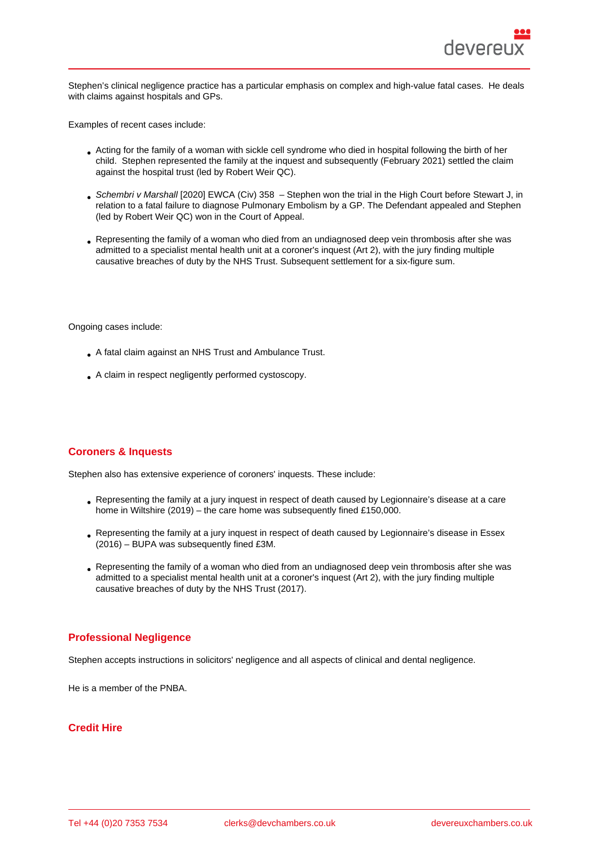Stephen's clinical negligence practice has a particular emphasis on complex and high-value fatal cases. He deals with claims against hospitals and GPs.

Examples of recent cases include:

- Acting for the family of a woman with sickle cell syndrome who died in hospital following the birth of her child. Stephen represented the family at the inquest and subsequently (February 2021) settled the claim against the hospital trust (led by Robert Weir QC).
- Schembri v Marshall [2020] EWCA (Civ) 358 Stephen won the trial in the High Court before Stewart J, in relation to a fatal failure to diagnose Pulmonary Embolism by a GP. The Defendant appealed and Stephen (led by Robert Weir QC) won in the Court of Appeal.
- Representing the family of a woman who died from an undiagnosed deep vein thrombosis after she was admitted to a specialist mental health unit at a coroner's inquest (Art 2), with the jury finding multiple causative breaches of duty by the NHS Trust. Subsequent settlement for a six-figure sum.

Ongoing cases include:

- A fatal claim against an NHS Trust and Ambulance Trust.
- A claim in respect negligently performed cystoscopy.

# Coroners & Inquests

Stephen also has extensive experience of coroners' inquests. These include:

- Representing the family at a jury inquest in respect of death caused by Legionnaire's disease at a care home in Wiltshire (2019) – the care home was subsequently fined £150,000.
- Representing the family at a jury inquest in respect of death caused by Legionnaire's disease in Essex (2016) – BUPA was subsequently fined £3M.
- Representing the family of a woman who died from an undiagnosed deep vein thrombosis after she was admitted to a specialist mental health unit at a coroner's inquest (Art 2), with the jury finding multiple causative breaches of duty by the NHS Trust (2017).

### Professional Negligence

Stephen accepts instructions in solicitors' negligence and all aspects of clinical and dental negligence.

He is a member of the PNBA.

### Credit Hire